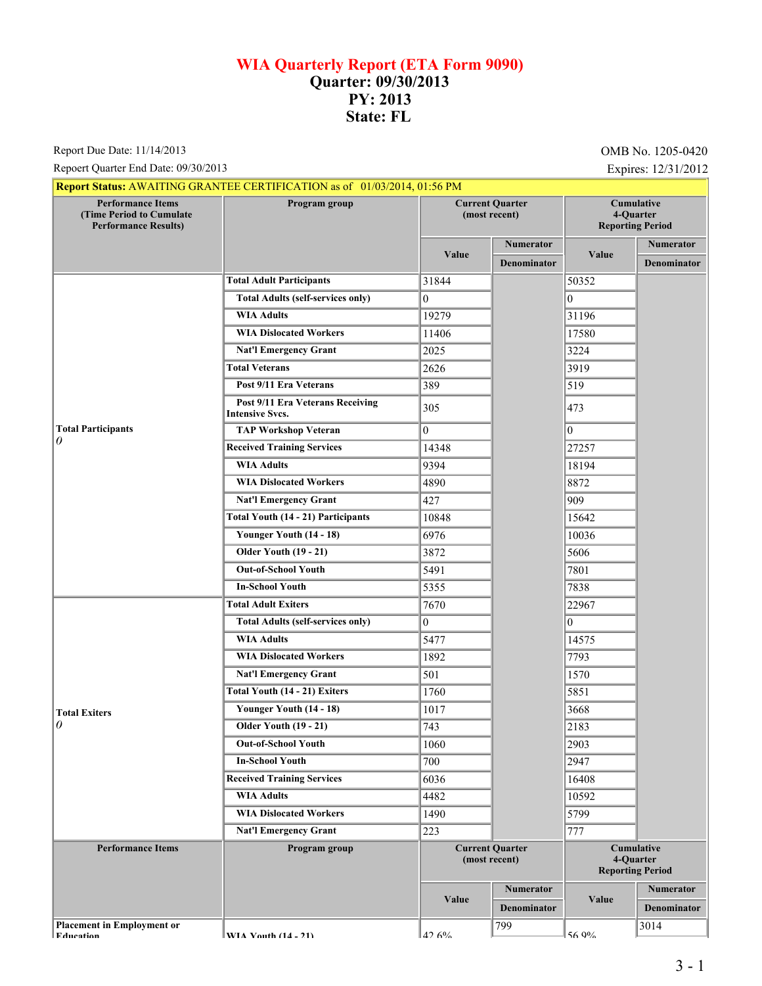## **WIA Quarterly Report (ETA Form 9090) Quarter: 09/30/2013 PY: 2013 State: FL**

Report Due Date: 11/14/2013 **OMB** No. 1205-0420

Repoert Quarter End Date: 09/30/2013 Expires: 12/31/2012

| <b>Performance Items</b><br>(Time Period to Cumulate<br><b>Performance Results)</b> | <b>Report Status: AWAITING GRANTEE CERTIFICATION as of 01/03/2014, 01:56 PM</b><br>Program group | <b>Current Quarter</b><br>(most recent) |                    | Cumulative<br>4-Quarter                                   |                                 |
|-------------------------------------------------------------------------------------|--------------------------------------------------------------------------------------------------|-----------------------------------------|--------------------|-----------------------------------------------------------|---------------------------------|
|                                                                                     |                                                                                                  |                                         | <b>Numerator</b>   | <b>Reporting Period</b>                                   |                                 |
|                                                                                     |                                                                                                  | Value                                   | <b>Denominator</b> | Value                                                     | Numerator<br><b>Denominator</b> |
|                                                                                     | <b>Total Adult Participants</b>                                                                  | 31844                                   |                    | 50352                                                     |                                 |
|                                                                                     | <b>Total Adults (self-services only)</b>                                                         | $\theta$                                |                    | 10                                                        |                                 |
|                                                                                     | <b>WIA Adults</b>                                                                                | 19279                                   |                    | 31196                                                     |                                 |
|                                                                                     | <b>WIA Dislocated Workers</b>                                                                    | 11406                                   |                    | 17580                                                     |                                 |
|                                                                                     | <b>Nat'l Emergency Grant</b>                                                                     | 2025                                    |                    | 3224                                                      |                                 |
|                                                                                     | <b>Total Veterans</b>                                                                            | 2626                                    |                    | 3919                                                      |                                 |
|                                                                                     | Post 9/11 Era Veterans                                                                           | 389                                     |                    | 519                                                       |                                 |
|                                                                                     | Post 9/11 Era Veterans Receiving<br><b>Intensive Svcs.</b>                                       | 305                                     |                    | 473                                                       |                                 |
| <b>Total Participants</b>                                                           | <b>TAP Workshop Veteran</b>                                                                      | $\overline{0}$                          |                    | $\vert$ 0                                                 |                                 |
| 0                                                                                   | <b>Received Training Services</b>                                                                | 14348                                   |                    | 27257                                                     |                                 |
|                                                                                     | <b>WIA Adults</b>                                                                                | 9394                                    |                    | 18194                                                     |                                 |
|                                                                                     | <b>WIA Dislocated Workers</b>                                                                    | 4890                                    |                    | 8872                                                      |                                 |
|                                                                                     | <b>Nat'l Emergency Grant</b>                                                                     | 427                                     |                    | 909                                                       |                                 |
|                                                                                     | <b>Total Youth (14 - 21) Participants</b>                                                        | 10848                                   |                    | 15642                                                     |                                 |
|                                                                                     | Younger Youth (14 - 18)                                                                          | 6976                                    |                    | 10036                                                     |                                 |
|                                                                                     | <b>Older Youth (19 - 21)</b>                                                                     | 3872                                    |                    | 5606                                                      |                                 |
|                                                                                     | <b>Out-of-School Youth</b>                                                                       | 5491                                    |                    | 7801                                                      |                                 |
|                                                                                     | <b>In-School Youth</b>                                                                           | 5355                                    |                    | 7838                                                      |                                 |
|                                                                                     | <b>Total Adult Exiters</b>                                                                       | 7670                                    |                    | 22967                                                     |                                 |
|                                                                                     | <b>Total Adults (self-services only)</b>                                                         | $\theta$                                |                    | 10                                                        |                                 |
|                                                                                     | <b>WIA Adults</b>                                                                                | 5477                                    |                    | 14575                                                     |                                 |
|                                                                                     | <b>WIA Dislocated Workers</b>                                                                    | 1892                                    |                    | 7793                                                      |                                 |
|                                                                                     | <b>Nat'l Emergency Grant</b>                                                                     | 501                                     |                    | 1570                                                      |                                 |
|                                                                                     | Total Youth (14 - 21) Exiters                                                                    | 1760                                    |                    | 5851                                                      |                                 |
| <b>Total Exiters</b><br>0                                                           | Younger Youth (14 - 18)                                                                          | 1017                                    |                    | 3668                                                      |                                 |
|                                                                                     | <b>Older Youth (19 - 21)</b>                                                                     | 743                                     |                    | 2183                                                      |                                 |
|                                                                                     | <b>Out-of-School Youth</b>                                                                       | 1060                                    |                    | 2903                                                      |                                 |
|                                                                                     | <b>In-School Youth</b>                                                                           | 700                                     |                    | 2947                                                      |                                 |
|                                                                                     | <b>Received Training Services</b>                                                                | 6036                                    |                    | 16408                                                     |                                 |
|                                                                                     | <b>WIA Adults</b>                                                                                | 4482                                    |                    | 10592                                                     |                                 |
|                                                                                     | <b>WIA Dislocated Workers</b>                                                                    | 1490                                    |                    | 5799                                                      |                                 |
|                                                                                     | <b>Nat'l Emergency Grant</b>                                                                     | 223                                     |                    | 777                                                       |                                 |
| <b>Performance Items</b>                                                            | Program group                                                                                    | <b>Current Quarter</b><br>(most recent) |                    | <b>Cumulative</b><br>4-Quarter<br><b>Reporting Period</b> |                                 |
|                                                                                     |                                                                                                  | Value                                   | <b>Numerator</b>   | Value                                                     | Numerator                       |
|                                                                                     |                                                                                                  |                                         | <b>Denominator</b> |                                                           | <b>Denominator</b>              |
| <b>Placement in Employment or</b><br><b>Education</b>                               | WIA Vouth $(14 - 21)$                                                                            | 12.6%                                   | 799                | 56.0%                                                     | 3014                            |

**Placement in Employ** 

**EXITA Vouth (14 - 21)**  $12.6\%$ 

56.9%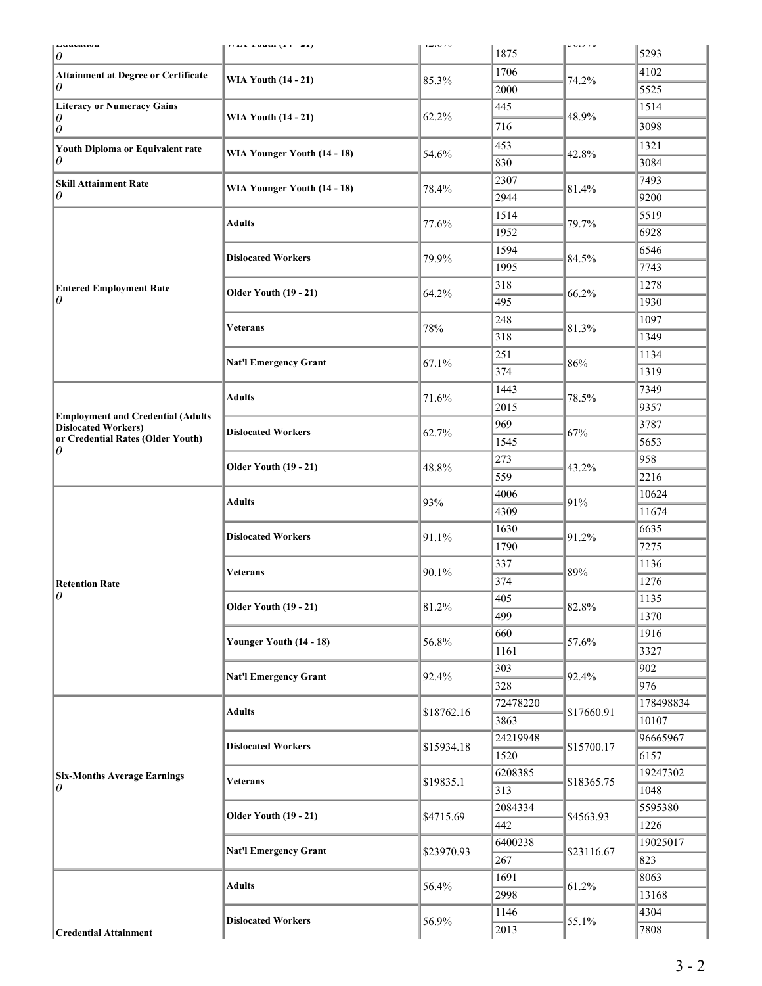| Luuvauvn<br>0                                                                                               | 11 123 1 0 10 11 1 1 2 2 1 1                              | T∠.∪≠v                | 1875       | JU.J/U              | 5293         |
|-------------------------------------------------------------------------------------------------------------|-----------------------------------------------------------|-----------------------|------------|---------------------|--------------|
| <b>Attainment at Degree or Certificate</b><br>0                                                             | <b>WIA Youth (14 - 21)</b>                                | 85.3%                 | 1706       | 74.2%               | 4102         |
|                                                                                                             |                                                           |                       | 2000       |                     | 5525         |
| <b>Literacy or Numeracy Gains</b><br>0<br>$\theta$<br>Youth Diploma or Equivalent rate<br>0                 | <b>WIA Youth (14 - 21)</b><br>WIA Younger Youth (14 - 18) |                       | 445        |                     | 1514         |
|                                                                                                             |                                                           | 62.2%                 | 716        | 48.9%               | 3098         |
|                                                                                                             |                                                           |                       | 453        |                     | 1321         |
|                                                                                                             |                                                           | 54.6%                 | 830        | 42.8%               | 3084         |
|                                                                                                             |                                                           |                       | 2307       |                     | 7493         |
| <b>Skill Attainment Rate</b><br>0                                                                           | WIA Younger Youth (14 - 18)                               | 78.4%                 | 2944       | 81.4%               | 9200         |
|                                                                                                             |                                                           |                       | 1514       |                     | 5519         |
|                                                                                                             | <b>Adults</b>                                             | 77.6%                 | 1952       | 79.7%               | 6928         |
|                                                                                                             |                                                           |                       | 1594       |                     | 6546         |
|                                                                                                             | <b>Dislocated Workers</b>                                 | 79.9%                 | 1995       | 84.5%               | 7743         |
|                                                                                                             |                                                           |                       | 318        |                     | 1278         |
| <b>Entered Employment Rate</b><br>0                                                                         | <b>Older Youth (19 - 21)</b>                              | 64.2%                 | 495        | 66.2%               | 1930         |
|                                                                                                             |                                                           |                       | 248        |                     | 1097         |
|                                                                                                             | <b>Veterans</b>                                           | 78%                   |            | 81.3%               |              |
|                                                                                                             |                                                           |                       | 318        |                     | 1349         |
|                                                                                                             | <b>Nat'l Emergency Grant</b>                              | 67.1%                 | 251<br>374 | 86%                 | 1134<br>1319 |
|                                                                                                             |                                                           |                       |            |                     |              |
| <b>Employment and Credential (Adults</b><br><b>Dislocated Workers)</b><br>or Credential Rates (Older Youth) | <b>Adults</b>                                             | 71.6%                 | 1443       | 78.5%               | 7349         |
|                                                                                                             |                                                           |                       | 2015       |                     | 9357         |
|                                                                                                             | <b>Dislocated Workers</b>                                 | 62.7%                 | 969        | 67%                 | 3787         |
| 0                                                                                                           |                                                           |                       | 1545       | 43.2%               | 5653         |
|                                                                                                             | <b>Older Youth (19 - 21)</b>                              | 48.8%                 | 273        |                     | 958          |
|                                                                                                             |                                                           |                       | 559        |                     | 2216         |
|                                                                                                             | <b>Adults</b><br><b>Dislocated Workers</b>                | 93%<br>91.1%<br>90.1% | 4006       | 91%<br>91.2%<br>89% | 10624        |
|                                                                                                             |                                                           |                       | 4309       |                     | 11674        |
|                                                                                                             |                                                           |                       | 1630       |                     | 6635         |
|                                                                                                             |                                                           |                       | 1790       |                     | 7275         |
| <b>Retention Rate</b><br>$\theta$                                                                           | <b>Veterans</b>                                           |                       | 337        |                     | 1136         |
|                                                                                                             |                                                           |                       | 374        |                     | 1276         |
|                                                                                                             | <b>Older Youth (19 - 21)</b>                              | 81.2%                 | 405        | 82.8%               | 1135         |
|                                                                                                             |                                                           |                       | 499        |                     | 1370         |
|                                                                                                             | Younger Youth (14 - 18)                                   | 56.8%                 | 660        | 57.6%               | 1916         |
|                                                                                                             |                                                           |                       | 1161       |                     | 3327         |
|                                                                                                             | <b>Nat'l Emergency Grant</b>                              | 92.4%                 | 303        | 92.4%               | 902          |
|                                                                                                             |                                                           |                       | 328        |                     | 976          |
| <b>Six-Months Average Earnings</b><br>0                                                                     | <b>Adults</b>                                             | \$18762.16            | 72478220   | \$17660.91          | 178498834    |
|                                                                                                             |                                                           |                       | 3863       |                     | 10107        |
|                                                                                                             | <b>Dislocated Workers</b>                                 | \$15934.18            | 24219948   | \$15700.17          | 96665967     |
|                                                                                                             |                                                           |                       | 1520       |                     | 6157         |
|                                                                                                             | <b>Veterans</b>                                           | \$19835.1             | 6208385    | \$18365.75          | 19247302     |
|                                                                                                             |                                                           |                       | 313        |                     | 1048         |
|                                                                                                             | <b>Older Youth (19 - 21)</b>                              | \$4715.69             | 2084334    | \$4563.93           | 5595380      |
|                                                                                                             |                                                           |                       | 442        |                     | 1226         |
|                                                                                                             | <b>Nat'l Emergency Grant</b>                              | \$23970.93            | 6400238    | \$23116.67          | 19025017     |
|                                                                                                             |                                                           |                       | 267        |                     | 823          |
|                                                                                                             | <b>Adults</b>                                             | 56.4%                 | 1691       | 61.2%               | 8063         |
|                                                                                                             |                                                           |                       | 2998       |                     | 13168        |
|                                                                                                             | <b>Dislocated Workers</b>                                 | 56.9%                 | 1146       | 55.1%               | 4304         |
| <b>Credential Attainment</b>                                                                                |                                                           |                       | 2013       |                     | 7808         |